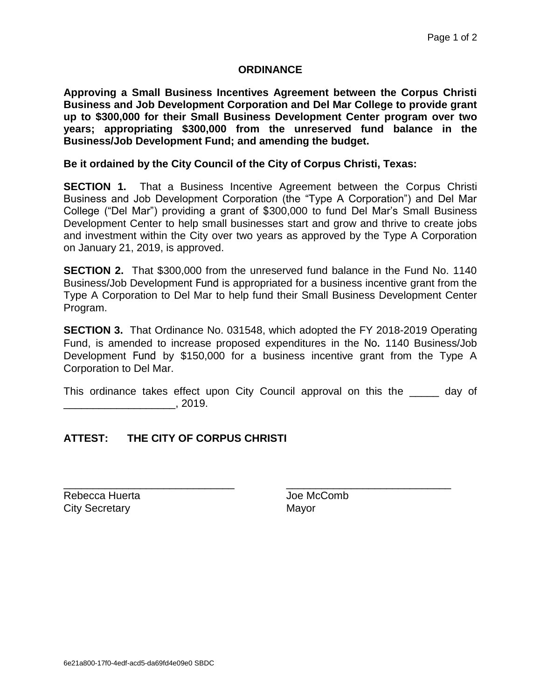## **ORDINANCE**

**Approving a Small Business Incentives Agreement between the Corpus Christi Business and Job Development Corporation and Del Mar College to provide grant up to \$300,000 for their Small Business Development Center program over two years; appropriating \$300,000 from the unreserved fund balance in the Business/Job Development Fund; and amending the budget.**

## **Be it ordained by the City Council of the City of Corpus Christi, Texas:**

**SECTION 1.** That a Business Incentive Agreement between the Corpus Christi Business and Job Development Corporation (the "Type A Corporation") and Del Mar College ("Del Mar") providing a grant of \$300,000 to fund Del Mar's Small Business Development Center to help small businesses start and grow and thrive to create jobs and investment within the City over two years as approved by the Type A Corporation on January 21, 2019, is approved.

**SECTION 2.** That \$300,000 from the unreserved fund balance in the Fund No. 1140 Business/Job Development Fund is appropriated for a business incentive grant from the Type A Corporation to Del Mar to help fund their Small Business Development Center Program.

**SECTION 3.** That Ordinance No. 031548, which adopted the FY 2018-2019 Operating Fund, is amended to increase proposed expenditures in the No. 1140 Business/Job Development Fund by \$150,000 for a business incentive grant from the Type A Corporation to Del Mar.

This ordinance takes effect upon City Council approval on this the \_\_\_\_\_ day of  $\sim$  2019.

\_\_\_\_\_\_\_\_\_\_\_\_\_\_\_\_\_\_\_\_\_\_\_\_\_\_\_\_\_ \_\_\_\_\_\_\_\_\_\_\_\_\_\_\_\_\_\_\_\_\_\_\_\_\_\_\_\_

## **ATTEST: THE CITY OF CORPUS CHRISTI**

Rebecca Huerta **Mateura Accomb** City Secretary **Mayor** Mayor